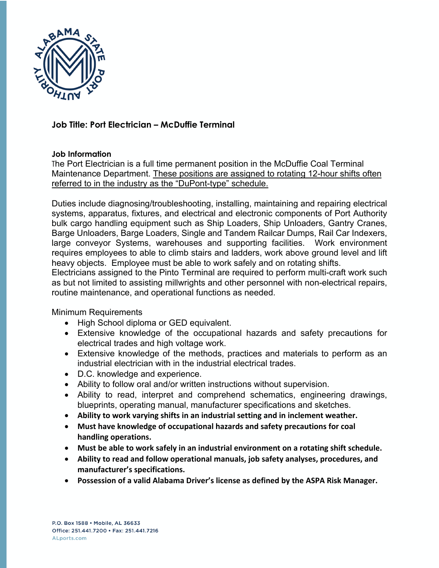

## **Job Title: Port Electrician – McDuffie Terminal**

## **Job Information**

The Port Electrician is a full time permanent position in the McDuffie Coal Terminal Maintenance Department. These positions are assigned to rotating 12-hour shifts often referred to in the industry as the "DuPont-type" schedule.

Duties include diagnosing/troubleshooting, installing, maintaining and repairing electrical systems, apparatus, fixtures, and electrical and electronic components of Port Authority bulk cargo handling equipment such as Ship Loaders, Ship Unloaders, Gantry Cranes, Barge Unloaders, Barge Loaders, Single and Tandem Railcar Dumps, Rail Car Indexers, large conveyor Systems, warehouses and supporting facilities. Work environment requires employees to able to climb stairs and ladders, work above ground level and lift heavy objects. Employee must be able to work safely and on rotating shifts.

Electricians assigned to the Pinto Terminal are required to perform multi-craft work such as but not limited to assisting millwrights and other personnel with non-electrical repairs, routine maintenance, and operational functions as needed.

Minimum Requirements

- High School diploma or GED equivalent.
- Extensive knowledge of the occupational hazards and safety precautions for electrical trades and high voltage work.
- Extensive knowledge of the methods, practices and materials to perform as an industrial electrician with in the industrial electrical trades.
- D.C. knowledge and experience.
- Ability to follow oral and/or written instructions without supervision.
- Ability to read, interpret and comprehend schematics, engineering drawings, blueprints, operating manual, manufacturer specifications and sketches.
- **Ability to work varying shifts in an industrial setting and in inclement weather.**
- **Must have knowledge of occupational hazards and safety precautions for coal handling operations.**
- **Must be able to work safely in an industrial environment on a rotating shift schedule.**
- **Ability to read and follow operational manuals, job safety analyses, procedures, and manufacturer's specifications.**
- **Possession of a valid Alabama Driver's license as defined by the ASPA Risk Manager.**